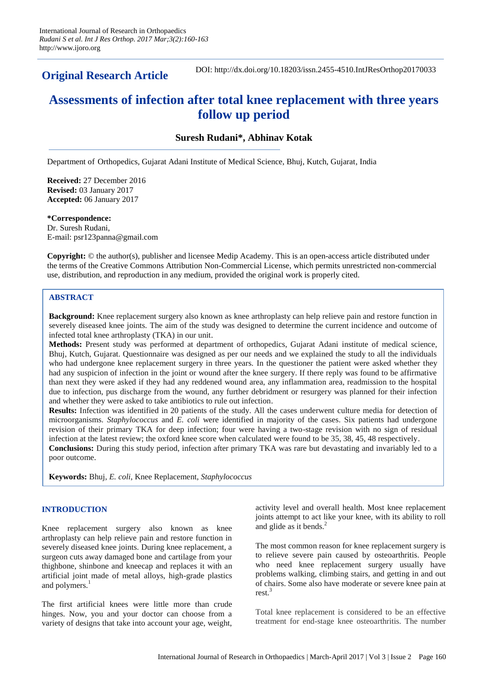**Original Research Article**

DOI: http://dx.doi.org/10.18203/issn.2455-4510.IntJResOrthop20170033

# **Assessments of infection after total knee replacement with three years follow up period**

# **Suresh Rudani\*, Abhinav Kotak**

Department of Orthopedics, Gujarat Adani Institute of Medical Science, Bhuj, Kutch, Gujarat, India

**Received:** 27 December 2016 **Revised:** 03 January 2017 **Accepted:** 06 January 2017

#### **\*Correspondence:**

Dr. Suresh Rudani, E-mail: psr123panna@gmail.com

**Copyright:** © the author(s), publisher and licensee Medip Academy. This is an open-access article distributed under the terms of the Creative Commons Attribution Non-Commercial License, which permits unrestricted non-commercial use, distribution, and reproduction in any medium, provided the original work is properly cited.

## **ABSTRACT**

**Background:** Knee replacement surgery also known as knee arthroplasty can help relieve pain and restore function in severely diseased knee joints. The aim of the study was designed to determine the current incidence and outcome of infected total knee arthroplasty (TKA) in our unit.

**Methods:** Present study was performed at department of orthopedics, Gujarat Adani institute of medical science, Bhuj, Kutch, Gujarat. Questionnaire was designed as per our needs and we explained the study to all the individuals who had undergone knee replacement surgery in three years. In the questioner the patient were asked whether they had any suspicion of infection in the joint or wound after the knee surgery. If there reply was found to be affirmative than next they were asked if they had any reddened wound area, any inflammation area, readmission to the hospital due to infection, pus discharge from the wound, any further debridment or resurgery was planned for their infection and whether they were asked to take antibiotics to rule out infection.

**Results:** Infection was identified in 20 patients of the study. All the cases underwent culture media for detection of microorganisms. *Staphylococcus* and *E. coli* were identified in majority of the cases. Six patients had undergone revision of their primary TKA for deep infection; four were having a two-stage revision with no sign of residual infection at the latest review; the oxford knee score when calculated were found to be 35, 38, 45, 48 respectively.

**Conclusions:** During this study period, infection after primary TKA was rare but devastating and invariably led to a poor outcome.

**Keywords:** Bhuj, *E. coli*, Knee Replacement, *Staphylococcus*

## **INTRODUCTION**

Knee replacement surgery also known as knee arthroplasty can help relieve pain and restore function in severely diseased knee joints. During knee replacement, a surgeon cuts away damaged bone and cartilage from your thighbone, shinbone and kneecap and replaces it with an artificial joint made of metal alloys, high-grade plastics and polymers.<sup>1</sup>

The first artificial knees were little more than crude hinges. Now, you and your doctor can choose from a variety of designs that take into account your age, weight,

activity level and overall health. Most knee replacement joints attempt to act like your knee, with its ability to roll and glide as it bends. $<sup>2</sup>$ </sup>

The most common reason for knee replacement surgery is to relieve severe pain caused by osteoarthritis. People who need knee replacement surgery usually have problems walking, climbing stairs, and getting in and out of chairs. Some also have moderate or severe knee pain at rest.<sup>3</sup>

Total knee replacement is considered to be an effective treatment for end-stage knee osteoarthritis. The number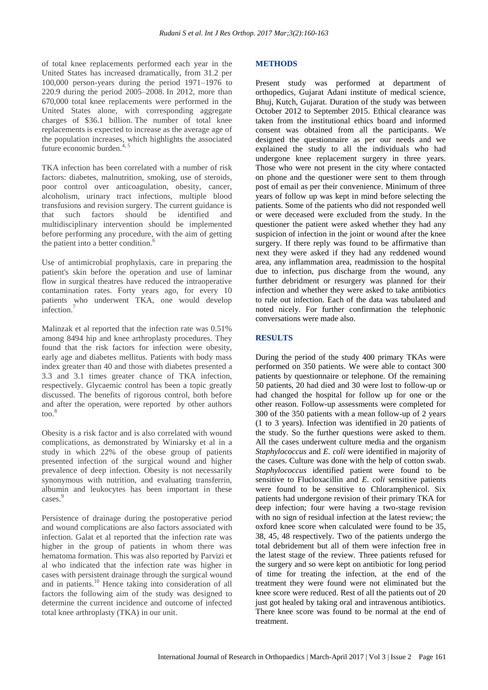of total knee replacements performed each year in the United States has increased dramatically, from 31.2 per 100,000 person-years during the period 1971–1976 to 220.9 during the period 2005–2008. In 2012, more than 670,000 total knee replacements were performed in the United States alone, with corresponding aggregate charges of \$36.1 billion. The number of total knee replacements is expected to increase as the average age of the population increases, which highlights the associated future economic burden. $4, 5$ 

TKA infection has been correlated with a number of risk factors: diabetes, malnutrition, smoking, use of steroids, poor control over anticoagulation, obesity, cancer, alcoholism, urinary tract infections, multiple blood transfusions and revision surgery. The current guidance is that such factors should be identified and multidisciplinary intervention should be implemented before performing any procedure, with the aim of getting the patient into a better condition.<sup>6</sup>

Use of antimicrobial prophylaxis, care in preparing the patient's skin before the operation and use of laminar flow in surgical theatres have reduced the intraoperative contamination rates. Forty years ago, for every 10 patients who underwent TKA, one would develop infection.<sup>7</sup>

Malinzak et al reported that the infection rate was 0.51% among 8494 hip and knee arthroplasty procedures. They found that the risk factors for infection were obesity, early age and diabetes mellitus. Patients with body mass index greater than 40 and those with diabetes presented a 3.3 and 3.1 times greater chance of TKA infection, respectively. Glycaemic control has been a topic greatly discussed. The benefits of rigorous control, both before and after the operation, were reported by other authors  $\mathrm{too.}^8$ 

Obesity is a risk factor and is also correlated with wound complications, as demonstrated by Winiarsky et al in a study in which 22% of the obese group of patients presented infection of the surgical wound and higher prevalence of deep infection. Obesity is not necessarily synonymous with nutrition, and evaluating transferrin, albumin and leukocytes has been important in these cases.<sup>9</sup>

Persistence of drainage during the postoperative period and wound complications are also factors associated with infection. Galat et al reported that the infection rate was higher in the group of patients in whom there was hematoma formation. This was also reported by Parvizi et al who indicated that the infection rate was higher in cases with persistent drainage through the surgical wound and in patients.<sup>10</sup> Hence taking into consideration of all factors the following aim of the study was designed to determine the current incidence and outcome of infected total knee arthroplasty (TKA) in our unit.

#### **METHODS**

Present study was performed at department of orthopedics, Gujarat Adani institute of medical science, Bhuj, Kutch, Gujarat. Duration of the study was between October 2012 to September 2015. Ethical clearance was taken from the institutional ethics board and informed consent was obtained from all the participants. We designed the questionnaire as per our needs and we explained the study to all the individuals who had undergone knee replacement surgery in three years. Those who were not present in the city where contacted on phone and the questioner were sent to them through post of email as per their convenience. Minimum of three years of follow up was kept in mind before selecting the patients. Some of the patients who did not responded well or were deceased were excluded from the study. In the questioner the patient were asked whether they had any suspicion of infection in the joint or wound after the knee surgery. If there reply was found to be affirmative than next they were asked if they had any reddened wound area, any inflammation area, readmission to the hospital due to infection, pus discharge from the wound, any further debridment or resurgery was planned for their infection and whether they were asked to take antibiotics to rule out infection. Each of the data was tabulated and noted nicely. For further confirmation the telephonic conversations were made also.

## **RESULTS**

During the period of the study 400 primary TKAs were performed on 350 patients. We were able to contact 300 patients by questionnaire or telephone. Of the remaining 50 patients, 20 had died and 30 were lost to follow-up or had changed the hospital for follow up for one or the other reason. Follow-up assessments were completed for 300 of the 350 patients with a mean follow-up of 2 years (1 to 3 years). Infection was identified in 20 patients of the study. So the further questions were asked to them. All the cases underwent culture media and the organism *Staphylococcus* and *E. coli* were identified in majority of the cases. Culture was done with the help of cotton swab. *Staphylococcus* identified patient were found to be sensitive to Flucloxacillin and *E. coli* sensitive patients were found to be sensitive to Chloramphenicol. Six patients had undergone revision of their primary TKA for deep infection; four were having a two-stage revision with no sign of residual infection at the latest review; the oxford knee score when calculated were found to be 35, 38, 45, 48 respectively. Two of the patients undergo the total debridement but all of them were infection free in the latest stage of the review. Three patients refused for the surgery and so were kept on antibiotic for long period of time for treating the infection, at the end of the treatment they were found were not eliminated but the knee score were reduced. Rest of all the patients out of 20 just got healed by taking oral and intravenous antibiotics. There knee score was found to be normal at the end of treatment.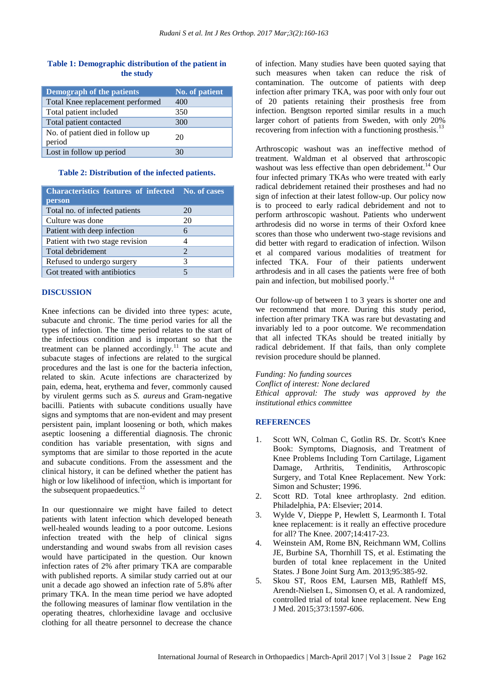## **Table 1: Demographic distribution of the patient in the study**

| Demograph of the patients                  | No. of patient |
|--------------------------------------------|----------------|
| Total Knee replacement performed           | 400            |
| Total patient included                     | 350            |
| Total patient contacted                    | 300            |
| No. of patient died in follow up<br>period | 20             |
| Lost in follow up period                   | 30             |

#### **Table 2: Distribution of the infected patients.**

| <b>Characteristics features of infected No. of cases</b><br>person |                             |
|--------------------------------------------------------------------|-----------------------------|
| Total no. of infected patients                                     | 20                          |
| Culture was done                                                   | 20                          |
| Patient with deep infection                                        | 6                           |
| Patient with two stage revision                                    |                             |
| Total debridement                                                  | $\mathcal{D}_{\mathcal{A}}$ |
| Refused to undergo surgery                                         | 3                           |
| Got treated with antibiotics                                       |                             |

#### **DISCUSSION**

Knee infections can be divided into three types: acute, subacute and chronic. The time period varies for all the types of infection. The time period relates to the start of the infectious condition and is important so that the treatment can be planned accordingly.<sup>11</sup> The acute and subacute stages of infections are related to the surgical procedures and the last is one for the bacteria infection, related to skin. Acute infections are characterized by pain, edema, heat, erythema and fever, commonly caused by virulent germs such as *S. aureus* and Gram-negative bacilli. Patients with subacute conditions usually have signs and symptoms that are non-evident and may present persistent pain, implant loosening or both, which makes aseptic loosening a differential diagnosis. The chronic condition has variable presentation, with signs and symptoms that are similar to those reported in the acute and subacute conditions. From the assessment and the clinical history, it can be defined whether the patient has high or low likelihood of infection, which is important for the subsequent propaedeutics.<sup>12</sup>

In our questionnaire we might have failed to detect patients with latent infection which developed beneath well-healed wounds leading to a poor outcome. Lesions infection treated with the help of clinical signs understanding and wound swabs from all revision cases would have participated in the question. Our known infection rates of 2% after primary TKA are comparable with published reports. A similar study carried out at our unit a decade ago showed an infection rate of 5.8% after primary TKA. In the mean time period we have adopted the following measures of laminar flow ventilation in the operating theatres, chlorhexidine lavage and occlusive clothing for all theatre personnel to decrease the chance

of infection. Many studies have been quoted saying that such measures when taken can reduce the risk of contamination. The outcome of patients with deep infection after primary TKA, was poor with only four out of 20 patients retaining their prosthesis free from infection. Bengtson reported similar results in a much larger cohort of patients from Sweden, with only 20% recovering from infection with a functioning prosthesis.<sup>13</sup>

Arthroscopic washout was an ineffective method of treatment. Waldman et al observed that arthroscopic washout was less effective than open debridement.<sup>14</sup> Our four infected primary TKAs who were treated with early radical debridement retained their prostheses and had no sign of infection at their latest follow-up. Our policy now is to proceed to early radical debridement and not to perform arthroscopic washout. Patients who underwent arthrodesis did no worse in terms of their Oxford knee scores than those who underwent two-stage revisions and did better with regard to eradication of infection. Wilson et al compared various modalities of treatment for infected TKA. Four of their patients underwent arthrodesis and in all cases the patients were free of both pain and infection, but mobilised poorly.<sup>14</sup>

Our follow-up of between 1 to 3 years is shorter one and we recommend that more. During this study period, infection after primary TKA was rare but devastating and invariably led to a poor outcome. We recommendation that all infected TKAs should be treated initially by radical debridement. If that fails, than only complete revision procedure should be planned.

*Funding: No funding sources Conflict of interest: None declared Ethical approval: The study was approved by the institutional ethics committee*

#### **REFERENCES**

- 1. Scott WN, Colman C, Gotlin RS. Dr. Scott's Knee Book: Symptoms, Diagnosis, and Treatment of Knee Problems Including Torn Cartilage, Ligament Damage, Arthritis, Tendinitis, Arthroscopic Surgery, and Total Knee Replacement. New York: Simon and Schuster; 1996.
- 2. Scott RD. Total knee arthroplasty. 2nd edition. Philadelphia, PA: Elsevier; 2014.
- 3. Wylde V, Dieppe P, Hewlett S, Learmonth I. Total knee replacement: is it really an effective procedure for all? The Knee. 2007;14:417-23.
- 4. Weinstein AM, Rome BN, Reichmann WM, Collins JE, Burbine SA, Thornhill TS, et al. Estimating the burden of total knee replacement in the United States. J Bone Joint Surg Am. 2013;95:385-92.
- 5. Skou ST, Roos EM, Laursen MB, Rathleff MS, Arendt-Nielsen L, Simonsen O, et al. A randomized, controlled trial of total knee replacement. New Eng J Med. 2015;373:1597-606.